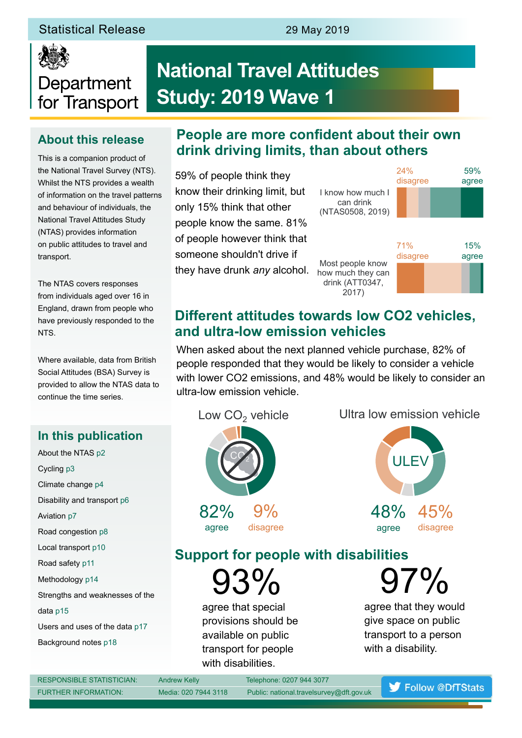# Statistical Release 29 May 2019



# **National Travel Attitudes Study: 2019 Wave 1**

# **About this release**

Department

for Transport

This is a companion product of the National Travel Survey (NTS). Whilst the NTS provides a wealth of information on the travel patterns and behaviour of individuals, the National Travel Attitudes Study (NTAS) provides information on public attitudes to travel and transport.

The NTAS covers responses from individuals aged over 16 in England, drawn from people who have previously responded to the NTS.

Where available, data from British Social Attitudes (BSA) Survey is provided to allow the NTAS data to continue the time series.

# **In this publication**

About the NTAS p2 Cycling p3 Climate change p4 Disability and transport p6 Aviation p7 Road congestion p8 Local transport p10 Road safety p11 Methodology p14 Strengths and weaknesses of the data p15 Users and uses of the data p17 Background notes p18

# **People are more confident about their own drink driving limits, than about others**

59% of people think they know their drinking limit, but only 15% think that other people know the same. 81% of people however think that someone shouldn't drive if they have drunk *any* alcohol. Most people know

I know how much I can drink (NTAS0508, 2019) 24% disagree

how much they can drink (ATT0347, 2017)



59% agree

agree disagree

# **Different attitudes towards low CO2 vehicles, and ultra-low emission vehicles**

When asked about the next planned vehicle purchase, 82% of people responded that they would be likely to consider a vehicle with lower CO2 emissions, and 48% would be likely to consider an ultra-low emission vehicle.

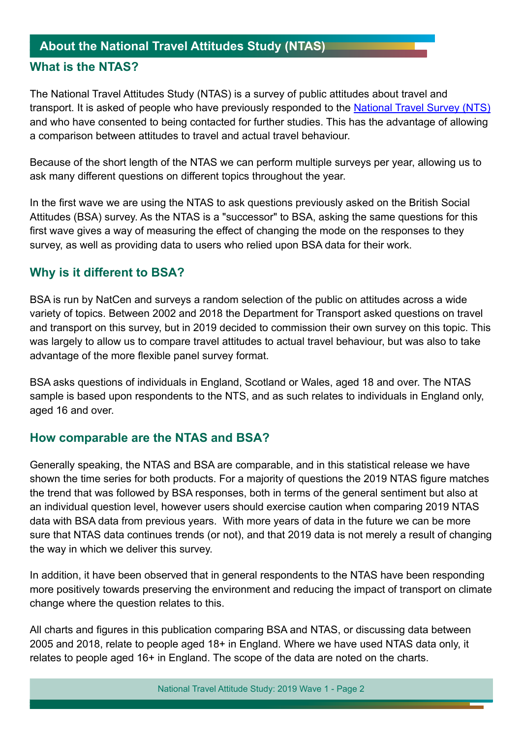# **About the National Travel Attitudes Study (NTAS) What is the NTAS?**

The National Travel Attitudes Study (NTAS) is a survey of public attitudes about travel and transport. It is asked of people who have previously responded to the [National Travel Survey \(NTS\)](https://www.gov.uk/government/collections/national-travel-survey-statistics) and who have consented to being contacted for further studies. This has the advantage of allowing a comparison between attitudes to travel and actual travel behaviour.

Because of the short length of the NTAS we can perform multiple surveys per year, allowing us to ask many different questions on different topics throughout the year.

In the frst wave we are using the NTAS to ask questions previously asked on the British Social Attitudes (BSA) survey. As the NTAS is a "successor" to BSA, asking the same questions for this frst wave gives a way of measuring the effect of changing the mode on the responses to they survey, as well as providing data to users who relied upon BSA data for their work.

# **Why is it different to BSA?**

BSA is run by NatCen and surveys a random selection of the public on attitudes across a wide variety of topics. Between 2002 and 2018 the Department for Transport asked questions on travel and transport on this survey, but in 2019 decided to commission their own survey on this topic. This was largely to allow us to compare travel attitudes to actual travel behaviour, but was also to take advantage of the more fexible panel survey format.

BSA asks questions of individuals in England, Scotland or Wales, aged 18 and over. The NTAS sample is based upon respondents to the NTS, and as such relates to individuals in England only, aged 16 and over.

# **How comparable are the NTAS and BSA?**

Generally speaking, the NTAS and BSA are comparable, and in this statistical release we have shown the time series for both products. For a majority of questions the 2019 NTAS figure matches the trend that was followed by BSA responses, both in terms of the general sentiment but also at an individual question level, however users should exercise caution when comparing 2019 NTAS data with BSA data from previous years. With more years of data in the future we can be more sure that NTAS data continues trends (or not), and that 2019 data is not merely a result of changing the way in which we deliver this survey.

In addition, it have been observed that in general respondents to the NTAS have been responding more positively towards preserving the environment and reducing the impact of transport on climate change where the question relates to this.

All charts and figures in this publication comparing BSA and NTAS, or discussing data between 2005 and 2018, relate to people aged 18+ in England. Where we have used NTAS data only, it relates to people aged 16+ in England. The scope of the data are noted on the charts.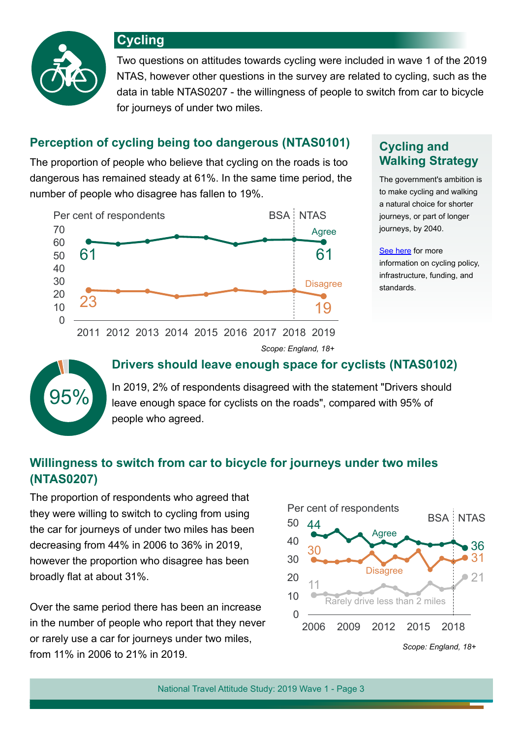

**Cycling**

Two questions on attitudes towards cycling were included in wave 1 of the 2019 NTAS, however other questions in the survey are related to cycling, such as the data in table NTAS0207 - the willingness of people to switch from car to bicycle for journeys of under two miles.

# **Perception of cycling being too dangerous (NTAS0101) Cycling and**

The proportion of people who believe that cycling on the roads is too dangerous has remained steady at 61%. In the same time period, the number of people who disagree has fallen to 19%.



# **Walking Strategy**

The government's ambition is to make cycling and walking a natural choice for shorter journeys, or part of longer journeys, by 2040.

[See here](https://www.gov.uk/government/collections/cycling) for more information on cycling policy, infrastructure, funding, and standards.

# **Drivers should leave enough space for cyclists (NTAS0102)**

*Scope: England, 18+*

**95%** In 2019, 2% of respondents disagreed with the statement "Drivers should leave enough space for cyclists on the roads", compared with 95% of people who agreed.

# **Willingness to switch from car to bicycle for journeys under two miles (NTAS0207)**

The proportion of respondents who agreed that they were willing to switch to cycling from using the car for journeys of under two miles has been decreasing from 44% in 2006 to 36% in 2019, however the proportion who disagree has been broadly flat at about 31%.

Over the same period there has been an increase in the number of people who report that they never or rarely use a car for journeys under two miles, from 11% in 2006 to 21% in 2019.

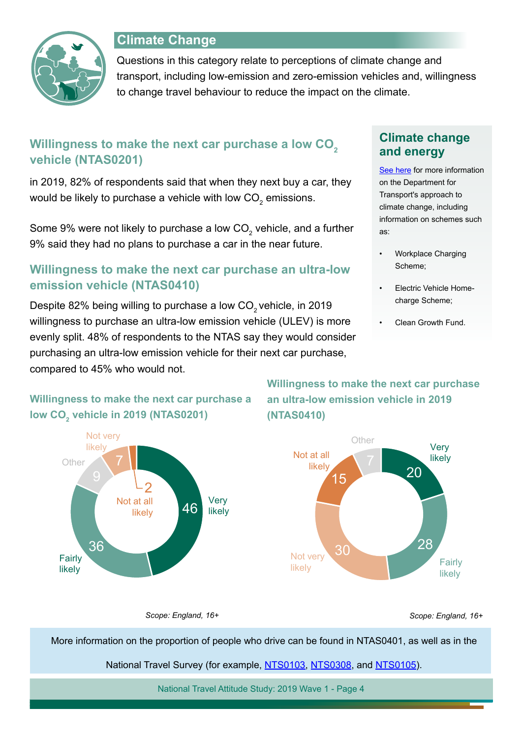

# **Climate Change**

Questions in this category relate to perceptions of climate change and transport, including low-emission and zero-emission vehicles and, willingness to change travel behaviour to reduce the impact on the climate.

# Willingness to make the next car purchase a low CO<sub>2</sub> **vehicle (NTAS0201)**

in 2019, 82% of respondents said that when they next buy a car, they would be likely to purchase a vehicle with low CO $_2^{}$  emissions.

Some 9% were not likely to purchase a low CO $_{\textrm{\tiny{2}}}$  vehicle, and a further 9% said they had no plans to purchase a car in the near future.

# **Willingness to make the next car purchase an ultra-low emission vehicle (NTAS0410)**

Despite 82% being willing to purchase a low CO<sub>2</sub> vehicle, in 2019 willingness to purchase an ultra-low emission vehicle (ULEV) is more evenly split. 48% of respondents to the NTAS say they would consider purchasing an ultra-low emission vehicle for their next car purchase, compared to 45% who would not.

# **Climate change and energy**

[See here](https://www.gov.uk/government/collections/cycling) for more information on the Department for Transport's approach to climate change, including information on schemes such as:

- Workplace Charging Scheme;
- Electric Vehicle Homecharge Scheme;
- Clean Growth Fund.



**Willingness to make the next car purchase a** 

**Willingness to make the next car purchase an ultra-low emission vehicle in 2019 (NTAS0410)**



*Scope: England, 16+ Scope: England, 16+*

More information on the proportion of people who drive can be found in NTAS0401, as well as in the

National Travel Survey (for example, [NTS0103,](https://www.gov.uk/government/statistical-data-sets/nts01-average-number-of-trips-made-and-distance-travelled) [NTS0308,](https://www.gov.uk/government/statistical-data-sets/nts03-modal-comparisons) and [NTS0105](https://www.gov.uk/government/statistical-data-sets/nts01-average-number-of-trips-made-and-distance-travelled)).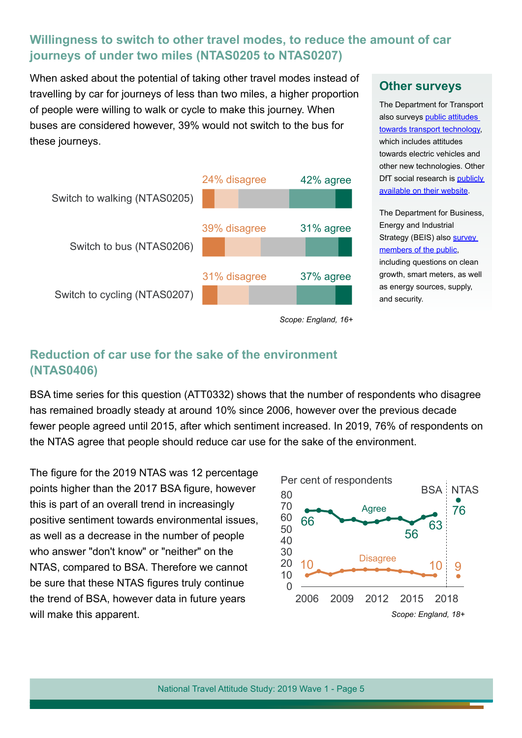# **Willingness to switch to other travel modes, to reduce the amount of car journeys of under two miles (NTAS0205 to NTAS0207)**

When asked about the potential of taking other travel modes instead of travelling by car for journeys of less than two miles, a higher proportion of people were willing to walk or cycle to make this journey. When buses are considered however, 39% would not switch to the bus for these journeys.



#### **Other surveys**

The Department for Transport also surveys [public attitudes](https://www.gov.uk/government/publications/transport-and-transport-technology-public-attitudes-tracker)  [towards transport technology,](https://www.gov.uk/government/publications/transport-and-transport-technology-public-attitudes-tracker) which includes attitudes towards electric vehicles and other new technologies. Other DfT social research is [publicly](https://www.gov.uk/government/collections/social-research-and-evaluation)  [available on their website.](https://www.gov.uk/government/collections/social-research-and-evaluation)

The Department for Business, Energy and Industrial Strategy (BEIS) also survey [members of the public](https://www.gov.uk/government/collections/public-attitudes-tracking-survey), including questions on clean growth, smart meters, as well as energy sources, supply, and security.

# **Reduction of car use for the sake of the environment (NTAS0406)**

BSA time series for this question (ATT0332) shows that the number of respondents who disagree has remained broadly steady at around 10% since 2006, however over the previous decade fewer people agreed until 2015, after which sentiment increased. In 2019, 76% of respondents on the NTAS agree that people should reduce car use for the sake of the environment.

The figure for the 2019 NTAS was 12 percentage points higher than the 2017 BSA figure, however this is part of an overall trend in increasingly positive sentiment towards environmental issues, as well as a decrease in the number of people who answer "don't know" or "neither" on the NTAS, compared to BSA. Therefore we cannot be sure that these NTAS figures truly continue the trend of BSA, however data in future years will make this apparent.

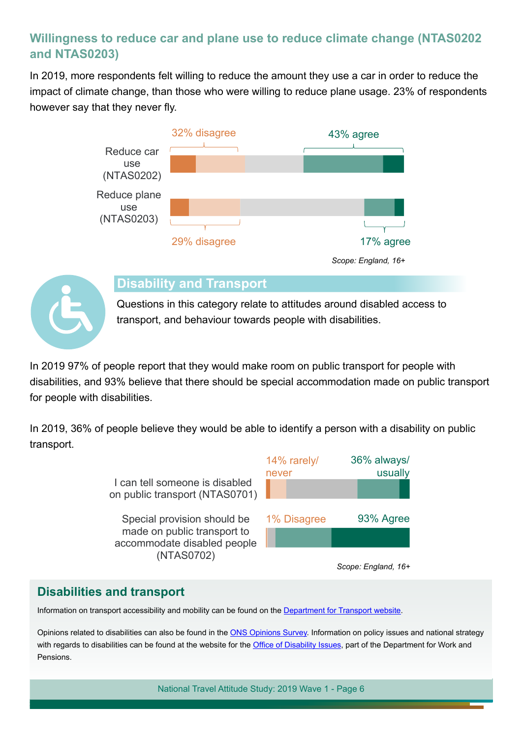# **Willingness to reduce car and plane use to reduce climate change (NTAS0202 and NTAS0203)**

In 2019, more respondents felt willing to reduce the amount they use a car in order to reduce the impact of climate change, than those who were willing to reduce plane usage. 23% of respondents however say that they never fy.





#### **Disability and Transport**

Questions in this category relate to attitudes around disabled access to transport, and behaviour towards people with disabilities.

In 2019 97% of people report that they would make room on public transport for people with disabilities, and 93% believe that there should be special accommodation made on public transport for people with disabilities.

In 2019, 36% of people believe they would be able to identify a person with a disability on public transport.

> I can tell someone is disabled on public transport (NTAS0701)

Special provision should be made on public transport to accommodate disabled people (NTAS0702)



*Scope: England, 16+*

# **Disabilities and transport**

Information on transport accessibility and mobility can be found on the [Department for Transport website](https://www.gov.uk/transport/transport-accessibility-and-mobility).

Opinions related to disabilities can also be found in the [ONS Opinions Survey](https://www.ons.gov.uk/peoplepopulationandcommunity/healthandsocialcare/healthandlifeexpectancies/compendium/opinionsandlifestylesurvey/2015-03-19/pdf). Information on policy issues and national strategy with regards to disabilities can be found at the website for the Office of Disability Issues, part of the Department for Work and Pensions.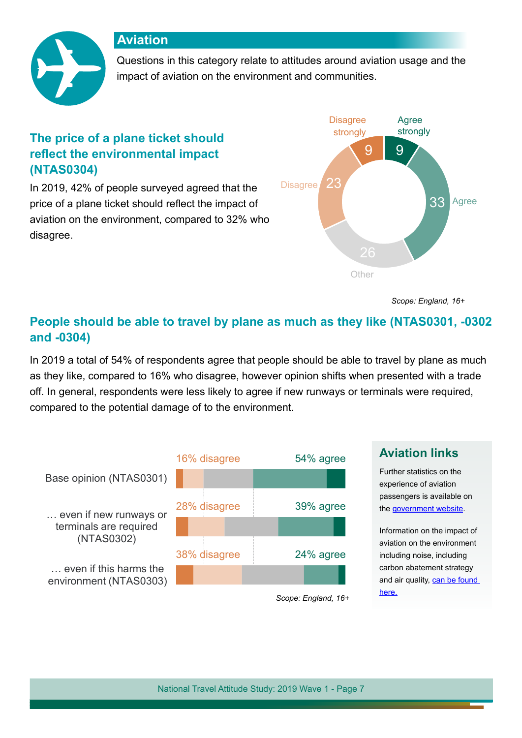### **Aviation**



Questions in this category relate to attitudes around aviation usage and the impact of aviation on the environment and communities.

# **The price of a plane ticket should refect the environmental impact (NTAS0304)**

In 2019, 42% of people surveyed agreed that the price of a plane ticket should refect the impact of aviation on the environment, compared to 32% who disagree.



*Scope: England, 16+*

# **People should be able to travel by plane as much as they like (NTAS0301, -0302 and -0304)**

In 2019 a total of 54% of respondents agree that people should be able to travel by plane as much as they like, compared to 16% who disagree, however opinion shifts when presented with a trade off. In general, respondents were less likely to agree if new runways or terminals were required, compared to the potential damage of to the environment.



# **Aviation links**

Further statistics on the experience of aviation passengers is available on the [government website](https://www.gov.uk/government/collections/aviation-statistics).

Information on the impact of aviation on the environment including noise, including carbon abatement strategy and air quality, can be found [here.](https://www.gov.uk/transport/aviation-and-the-environment)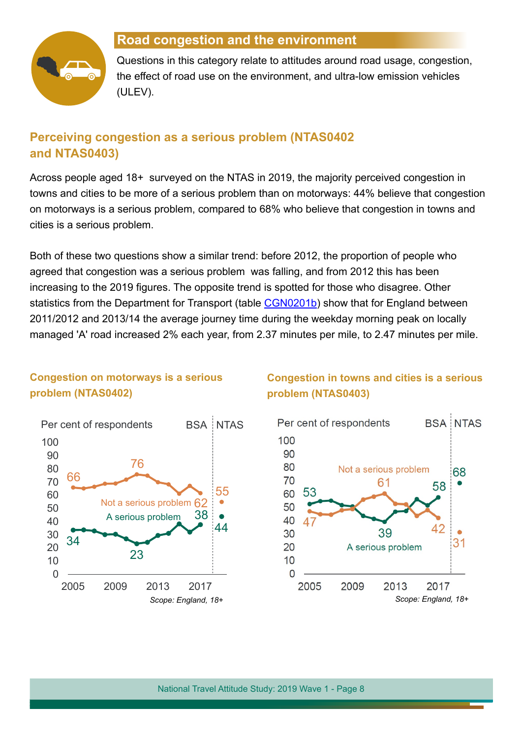

# **Road congestion and the environment**

Questions in this category relate to attitudes around road usage, congestion, the effect of road use on the environment, and ultra-low emission vehicles (ULEV).

# **Perceiving congestion as a serious problem (NTAS0402 and NTAS0403)**

Across people aged 18+ surveyed on the NTAS in 2019, the majority perceived congestion in towns and cities to be more of a serious problem than on motorways: 44% believe that congestion on motorways is a serious problem, compared to 68% who believe that congestion in towns and cities is a serious problem.

Both of these two questions show a similar trend: before 2012, the proportion of people who agreed that congestion was a serious problem was falling, and from 2012 this has been increasing to the 2019 figures. The opposite trend is spotted for those who disagree. Other statistics from the Department for Transport (table [CGN0201b](https://www.gov.uk/government/statistical-data-sets/cgn02-flow-weighted-vehicle-speeds)) show that for England between 2011/2012 and 2013/14 the average journey time during the weekday morning peak on locally managed 'A' road increased 2% each year, from 2.37 minutes per mile, to 2.47 minutes per mile.

#### **Congestion on motorways is a serious problem (NTAS0402)**



# **Congestion in towns and cities is a serious problem (NTAS0403)**

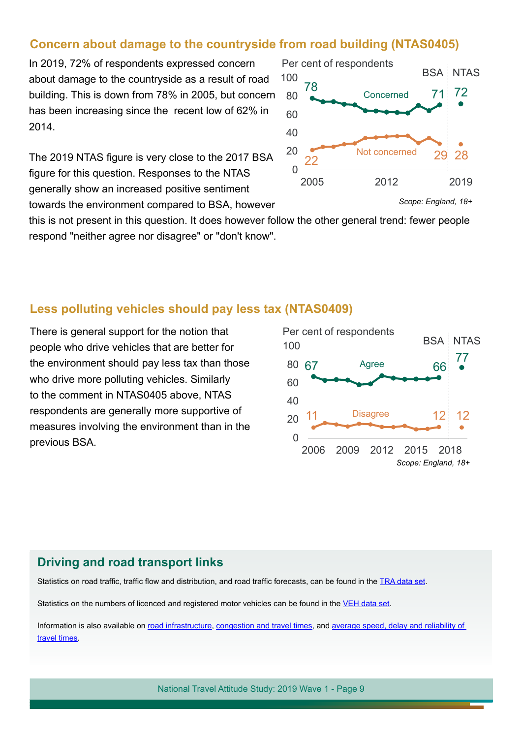#### **Concern about damage to the countryside from road building (NTAS0405)**

In 2019, 72% of respondents expressed concern about damage to the countryside as a result of road building. This is down from 78% in 2005, but concern has been increasing since the recent low of 62% in 2014.

The 2019 NTAS figure is very close to the 2017 BSA figure for this question. Responses to the NTAS generally show an increased positive sentiment towards the environment compared to BSA, however

this is not present in this question. It does however follow the other general trend: fewer people respond "neither agree nor disagree" or "don't know".

#### **Less polluting vehicles should pay less tax (NTAS0409)**

There is general support for the notion that people who drive vehicles that are better for the environment should pay less tax than those who drive more polluting vehicles. Similarly to the comment in NTAS0405 above, NTAS respondents are generally more supportive of measures involving the environment than in the previous BSA.



Statistics on road traffic, traffic flow and distribution, and road traffic forecasts, can be found in the [TRA data set](https://www.gov.uk/government/statistical-data-sets/road-traffic-statistics-tra).

Statistics on the numbers of licenced and registered motor vehicles can be found in the [VEH data set](https://www.gov.uk/government/collections/vehicles-statistics).

Information is also available on [road infrastructure,](https://www.gov.uk/transport/road-infrastructure) [congestion](https://www.gov.uk/government/publications/road-congestion-and-travel-times-statistics-guidance) and travel times, and [average speed, delay and reliability of](https://www.gov.uk/government/statistical-data-sets/average-speed-delay-and-reliability-of-travel-times-cgn)  [travel times.](https://www.gov.uk/government/statistical-data-sets/average-speed-delay-and-reliability-of-travel-times-cgn)



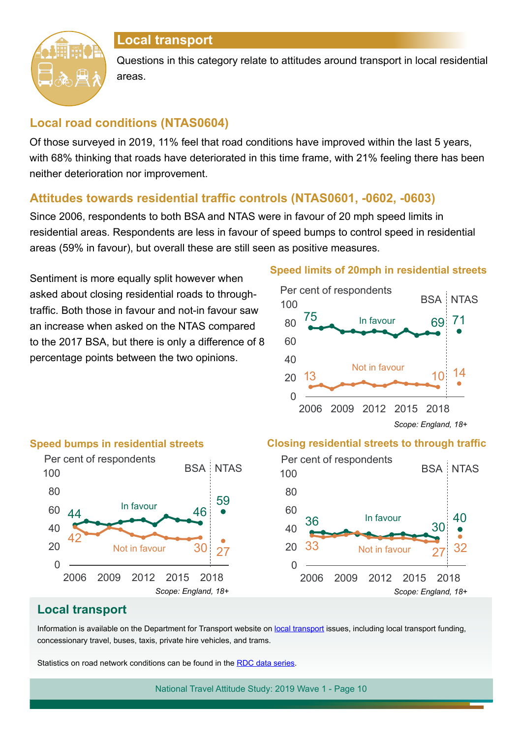

# **Local transport**

Questions in this category relate to attitudes around transport in local residential areas.

# **Local road conditions (NTAS0604)**

Of those surveyed in 2019, 11% feel that road conditions have improved within the last 5 years, with 68% thinking that roads have deteriorated in this time frame, with 21% feeling there has been neither deterioration nor improvement.

# Attitudes towards residential traffic controls (NTAS0601, -0602, -0603)

Since 2006, respondents to both BSA and NTAS were in favour of 20 mph speed limits in residential areas. Respondents are less in favour of speed bumps to control speed in residential areas (59% in favour), but overall these are still seen as positive measures.

Sentiment is more equally split however when asked about closing residential roads to throughtraffic. Both those in favour and not-in favour saw an increase when asked on the NTAS compared to the 2017 BSA, but there is only a difference of 8 percentage points between the two opinions.

#### **Speed limits of 20mph in residential streets**





#### **Closing residential streets to through traffic**



#### **Local transport**

Information is available on the Department for Transport website on [local transport](https://www.gov.uk/transport/local-transport) issues, including local transport funding, concessionary travel, buses, taxis, private hire vehicles, and trams.

Statistics on road network conditions can be found in the [RDC data series](https://www.gov.uk/government/collections/road-network-size-and-condition).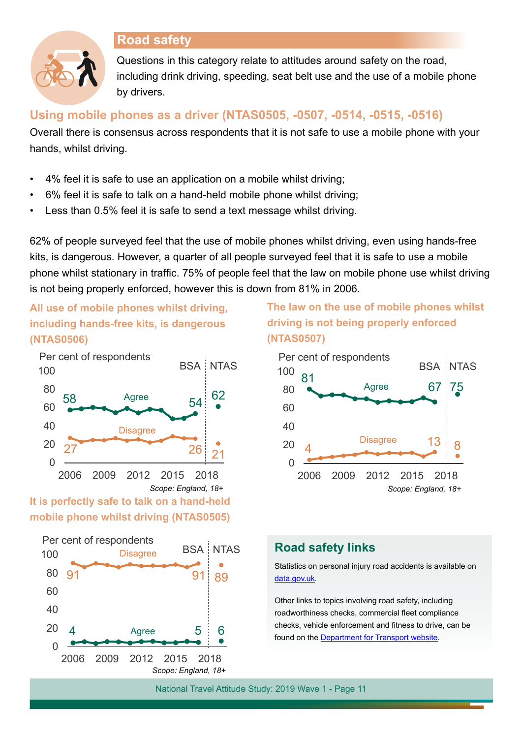# **Road safety**



Questions in this category relate to attitudes around safety on the road, including drink driving, speeding, seat belt use and the use of a mobile phone by drivers.

#### **Using mobile phones as a driver (NTAS0505, -0507, -0514, -0515, -0516)**

Overall there is consensus across respondents that it is not safe to use a mobile phone with your hands, whilst driving.

- 4% feel it is safe to use an application on a mobile whilst driving;
- 6% feel it is safe to talk on a hand-held mobile phone whilst driving;
- Less than 0.5% feel it is safe to send a text message whilst driving.

62% of people surveyed feel that the use of mobile phones whilst driving, even using hands-free kits, is dangerous. However, a quarter of all people surveyed feel that it is safe to use a mobile phone whilst stationary in traffic. 75% of people feel that the law on mobile phone use whilst driving is not being properly enforced, however this is down from 81% in 2006.

**All use of mobile phones whilst driving, including hands-free kits, is dangerous (NTAS0506)**



# **It is perfectly safe to talk on a hand-held mobile phone whilst driving (NTAS0505)**



**The law on the use of mobile phones whilst driving is not being properly enforced (NTAS0507)**



# **Road safety links**

Statistics on personal injury road accidents is available on [data.gov.uk](https://data.gov.uk/dataset/cb7ae6f0-4be6-4935-9277-47e5ce24a11f/road-safety-data).

Other links to topics involving road safety, including roadworthiness checks, commercial feet compliance checks, vehicle enforcement and ftness to drive, can be found on the [Department for Transport website](https://www.gov.uk/transport/road-safety-driving-rules-and-penalties).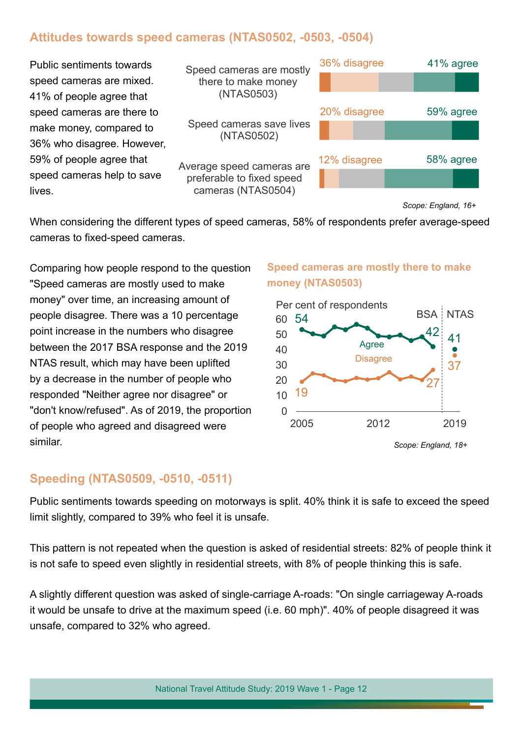# **Attitudes towards speed cameras (NTAS0502, -0503, -0504)**



*Scope: England, 16+*

37

41

**BSA NTAS** 

42

27

*Scope: England, 18+*

**Speed cameras are mostly there to make** 

Agree **Disagree** 

2005 2012 2019

**money (NTAS0503)**

Per cent of respondents

When considering the different types of speed cameras, 58% of respondents prefer average-speed cameras to fixed-speed cameras.

Comparing how people respond to the question "Speed cameras are mostly used to make money" over time, an increasing amount of people disagree. There was a 10 percentage point increase in the numbers who disagree between the 2017 BSA response and the 2019 NTAS result, which may have been uplifted by a decrease in the number of people who responded "Neither agree nor disagree" or "don't know/refused". As of 2019, the proportion of people who agreed and disagreed were similar.

# **Speeding (NTAS0509, -0510, -0511)**

Public sentiments towards speeding on motorways is split. 40% think it is safe to exceed the speed limit slightly, compared to 39% who feel it is unsafe.

19

This pattern is not repeated when the question is asked of residential streets: 82% of people think it is not safe to speed even slightly in residential streets, with 8% of people thinking this is safe.

A slightly different question was asked of single-carriage A-roads: "On single carriageway A-roads it would be unsafe to drive at the maximum speed (i.e. 60 mph)". 40% of people disagreed it was unsafe, compared to 32% who agreed.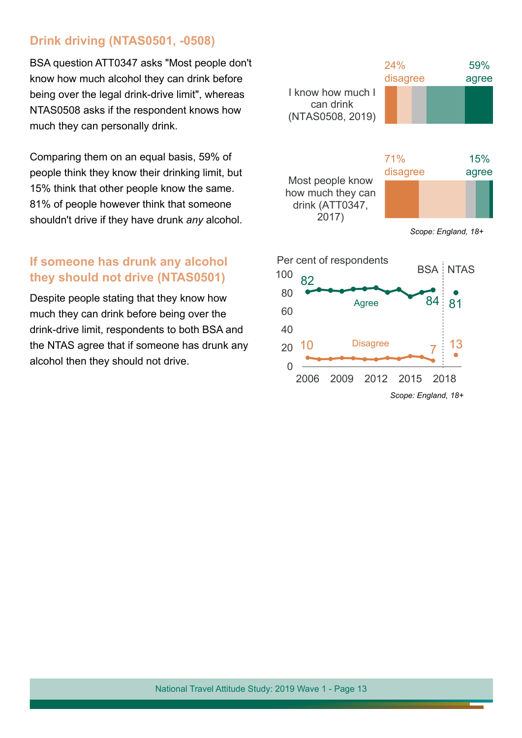# **Drink driving (NTAS0501, -0508)**

BSA question ATT0347 asks "Most people don't know how much alcohol they can drink before being over the legal drink-drive limit", whereas NTAS0508 asks if the respondent knows how much they can personally drink.

Comparing them on an equal basis, 59% of people think they know their drinking limit, but 15% think that other people know the same. 81% of people however think that someone shouldn't drive if they have drunk *any* alcohol.

### **If someone has drunk any alcohol they should not drive (NTAS0501)**

Despite people stating that they know how much they can drink before being over the drink-drive limit, respondents to both BSA and the NTAS agree that if someone has drunk any alcohol then they should not drive.



*Scope: England, 18+*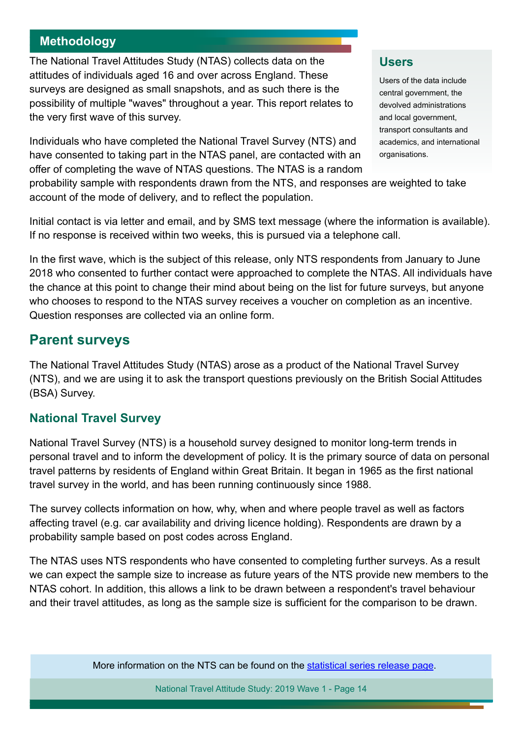# **Methodology**

The National Travel Attitudes Study (NTAS) collects data on the attitudes of individuals aged 16 and over across England. These surveys are designed as small snapshots, and as such there is the possibility of multiple "waves" throughout a year. This report relates to the very first wave of this survey.

Individuals who have completed the National Travel Survey (NTS) and have consented to taking part in the NTAS panel, are contacted with an offer of completing the wave of NTAS questions. The NTAS is a random

#### **Users**

Users of the data include central government, the devolved administrations and local government, transport consultants and academics, and international organisations.

probability sample with respondents drawn from the NTS, and responses are weighted to take account of the mode of delivery, and to refect the population.

Initial contact is via letter and email, and by SMS text message (where the information is available). If no response is received within two weeks, this is pursued via a telephone call.

In the frst wave, which is the subject of this release, only NTS respondents from January to June 2018 who consented to further contact were approached to complete the NTAS. All individuals have the chance at this point to change their mind about being on the list for future surveys, but anyone who chooses to respond to the NTAS survey receives a voucher on completion as an incentive. Question responses are collected via an online form.

# **Parent surveys**

The National Travel Attitudes Study (NTAS) arose as a product of the National Travel Survey (NTS), and we are using it to ask the transport questions previously on the British Social Attitudes (BSA) Survey.

# **National Travel Survey**

National Travel Survey (NTS) is a household survey designed to monitor long-term trends in personal travel and to inform the development of policy. It is the primary source of data on personal travel patterns by residents of England within Great Britain. It began in 1965 as the frst national travel survey in the world, and has been running continuously since 1988.

The survey collects information on how, why, when and where people travel as well as factors affecting travel (e.g. car availability and driving licence holding). Respondents are drawn by a probability sample based on post codes across England.

The NTAS uses NTS respondents who have consented to completing further surveys. As a result we can expect the sample size to increase as future years of the NTS provide new members to the NTAS cohort. In addition, this allows a link to be drawn between a respondent's travel behaviour and their travel attitudes, as long as the sample size is sufficient for the comparison to be drawn.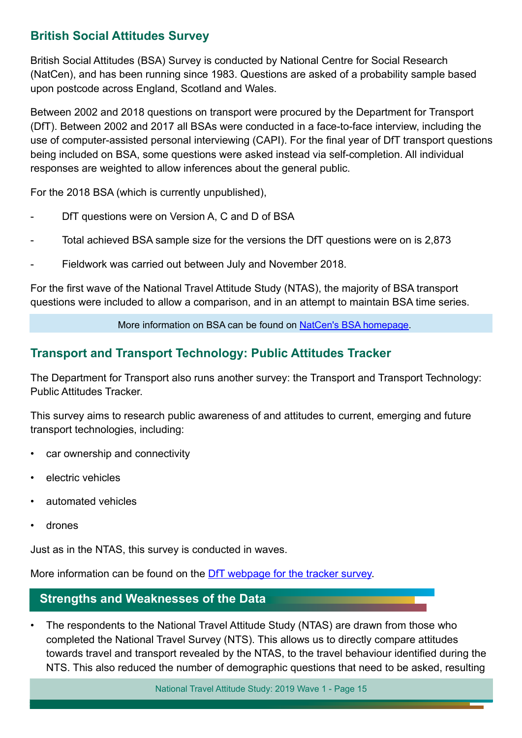# **British Social Attitudes Survey**

British Social Attitudes (BSA) Survey is conducted by National Centre for Social Research (NatCen), and has been running since 1983. Questions are asked of a probability sample based upon postcode across England, Scotland and Wales.

Between 2002 and 2018 questions on transport were procured by the Department for Transport (DfT). Between 2002 and 2017 all BSAs were conducted in a face-to-face interview, including the use of computer-assisted personal interviewing (CAPI). For the final year of DfT transport questions being included on BSA, some questions were asked instead via self-completion. All individual responses are weighted to allow inferences about the general public.

For the 2018 BSA (which is currently unpublished),

- DfT questions were on Version A, C and D of BSA
- Total achieved BSA sample size for the versions the DfT questions were on is 2,873
- Fieldwork was carried out between July and November 2018.

For the first wave of the National Travel Attitude Study (NTAS), the majority of BSA transport questions were included to allow a comparison, and in an attempt to maintain BSA time series.

More information on BSA can be found on [NatCen's BSA homepage](http://www.bsa.natcen.ac.uk/).

# **Transport and Transport Technology: Public Attitudes Tracker**

The Department for Transport also runs another survey: the Transport and Transport Technology: Public Attitudes Tracker.

This survey aims to research public awareness of and attitudes to current, emerging and future transport technologies, including:

- car ownership and connectivity
- electric vehicles
- automated vehicles
- drones

Just as in the NTAS, this survey is conducted in waves.

More information can be found on the [DfT webpage for the tracker survey.](https://www.gov.uk/government/publications/transport-and-transport-technology-public-attitudes-tracker)

# **Strengths and Weaknesses of the Data**

• The respondents to the National Travel Attitude Study (NTAS) are drawn from those who completed the National Travel Survey (NTS). This allows us to directly compare attitudes towards travel and transport revealed by the NTAS, to the travel behaviour identifed during the NTS. This also reduced the number of demographic questions that need to be asked, resulting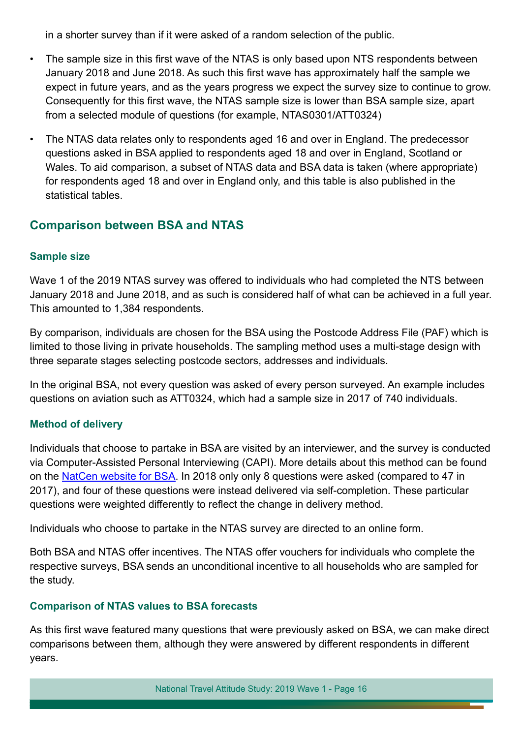in a shorter survey than if it were asked of a random selection of the public.

- The sample size in this frst wave of the NTAS is only based upon NTS respondents between January 2018 and June 2018. As such this frst wave has approximately half the sample we expect in future years, and as the years progress we expect the survey size to continue to grow. Consequently for this first wave, the NTAS sample size is lower than BSA sample size, apart from a selected module of questions (for example, NTAS0301/ATT0324)
- The NTAS data relates only to respondents aged 16 and over in England. The predecessor questions asked in BSA applied to respondents aged 18 and over in England, Scotland or Wales. To aid comparison, a subset of NTAS data and BSA data is taken (where appropriate) for respondents aged 18 and over in England only, and this table is also published in the statistical tables.

# **Comparison between BSA and NTAS**

#### **Sample size**

Wave 1 of the 2019 NTAS survey was offered to individuals who had completed the NTS between January 2018 and June 2018, and as such is considered half of what can be achieved in a full year. This amounted to 1,384 respondents.

By comparison, individuals are chosen for the BSA using the Postcode Address File (PAF) which is limited to those living in private households. The sampling method uses a multi-stage design with three separate stages selecting postcode sectors, addresses and individuals.

In the original BSA, not every question was asked of every person surveyed. An example includes questions on aviation such as ATT0324, which had a sample size in 2017 of 740 individuals.

#### **Method of delivery**

Individuals that choose to partake in BSA are visited by an interviewer, and the survey is conducted via Computer-Assisted Personal Interviewing (CAPI). More details about this method can be found on the [NatCen website for BSA](http://natcen.ac.uk/our-research/research/british-social-attitudes/). In 2018 only only 8 questions were asked (compared to 47 in 2017), and four of these questions were instead delivered via self-completion. These particular questions were weighted differently to refect the change in delivery method.

Individuals who choose to partake in the NTAS survey are directed to an online form.

Both BSA and NTAS offer incentives. The NTAS offer vouchers for individuals who complete the respective surveys, BSA sends an unconditional incentive to all households who are sampled for the study.

#### **Comparison of NTAS values to BSA forecasts**

As this first wave featured many questions that were previously asked on BSA, we can make direct comparisons between them, although they were answered by different respondents in different years.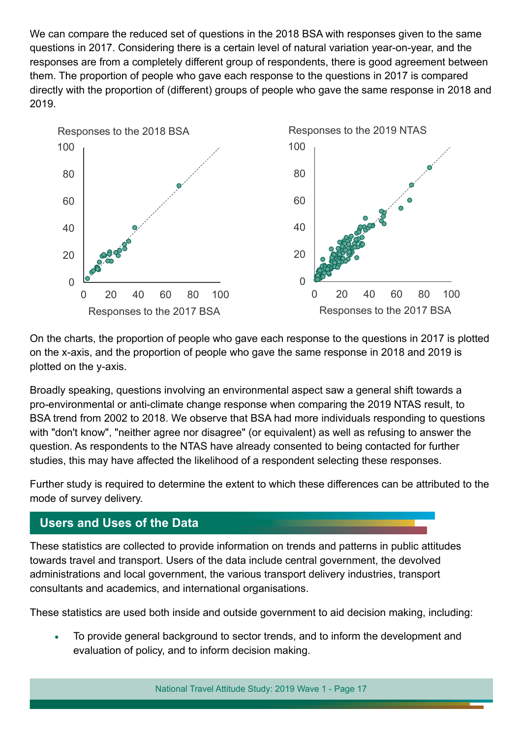We can compare the reduced set of questions in the 2018 BSA with responses given to the same questions in 2017. Considering there is a certain level of natural variation year-on-year, and the responses are from a completely different group of respondents, there is good agreement between them. The proportion of people who gave each response to the questions in 2017 is compared directly with the proportion of (different) groups of people who gave the same response in 2018 and 2019.



On the charts, the proportion of people who gave each response to the questions in 2017 is plotted on the x-axis, and the proportion of people who gave the same response in 2018 and 2019 is plotted on the y-axis.

Broadly speaking, questions involving an environmental aspect saw a general shift towards a pro-environmental or anti-climate change response when comparing the 2019 NTAS result, to BSA trend from 2002 to 2018. We observe that BSA had more individuals responding to questions with "don't know", "neither agree nor disagree" (or equivalent) as well as refusing to answer the question. As respondents to the NTAS have already consented to being contacted for further studies, this may have affected the likelihood of a respondent selecting these responses.

Further study is required to determine the extent to which these differences can be attributed to the mode of survey delivery.

# **Users and Uses of the Data**

These statistics are collected to provide information on trends and patterns in public attitudes towards travel and transport. Users of the data include central government, the devolved administrations and local government, the various transport delivery industries, transport consultants and academics, and international organisations.

These statistics are used both inside and outside government to aid decision making, including:

To provide general background to sector trends, and to inform the development and evaluation of policy, and to inform decision making.